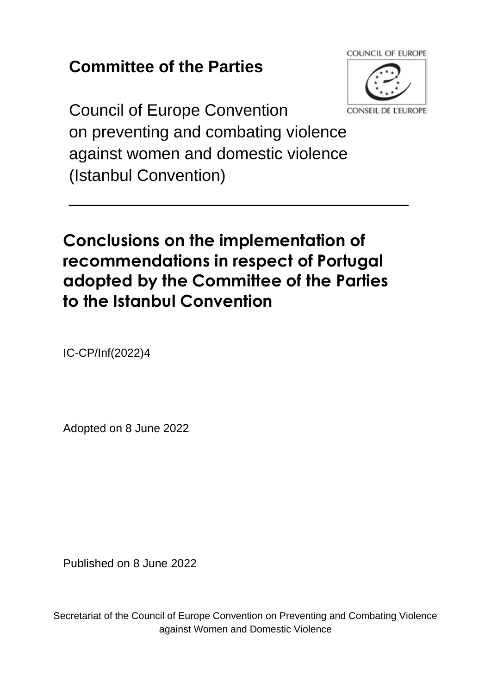## **Committee of the Parties**



Council of Europe Convention on preventing and combating violence against women and domestic violence (Istanbul Convention)

## **Conclusions on the implementation of recommendations in respect of Portugal adopted by the Committee of the Parties to the Istanbul Convention**

\_\_\_\_\_\_\_\_\_\_\_\_\_\_\_\_\_\_\_\_\_\_\_\_\_\_\_\_\_\_\_\_\_\_\_\_\_

IC-CP/Inf(2022)4

Adopted on 8 June 2022

Published on 8 June 2022

Secretariat of the Council of Europe Convention on Preventing and Combating Violence against Women and Domestic Violence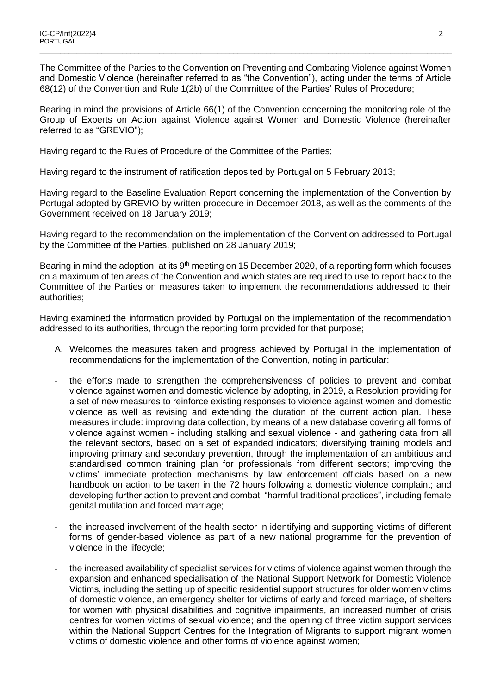The Committee of the Parties to the Convention on Preventing and Combating Violence against Women and Domestic Violence (hereinafter referred to as "the Convention"), acting under the terms of Article 68(12) of the Convention and Rule 1(2b) of the Committee of the Parties' Rules of Procedure;

\_\_\_\_\_\_\_\_\_\_\_\_\_\_\_\_\_\_\_\_\_\_\_\_\_\_\_\_\_\_\_\_\_\_\_\_\_\_\_\_\_\_\_\_\_\_\_\_\_\_\_\_\_\_\_\_\_\_\_\_\_\_\_\_\_\_\_\_\_\_\_\_\_\_\_\_\_\_\_\_\_\_\_\_\_\_\_\_\_\_\_\_\_\_\_\_\_\_\_\_

Bearing in mind the provisions of Article 66(1) of the Convention concerning the monitoring role of the Group of Experts on Action against Violence against Women and Domestic Violence (hereinafter referred to as "GREVIO");

Having regard to the Rules of Procedure of the Committee of the Parties;

Having regard to the instrument of ratification deposited by Portugal on 5 February 2013;

Having regard to the Baseline Evaluation Report concerning the implementation of the Convention by Portugal adopted by GREVIO by written procedure in December 2018, as well as the comments of the Government received on 18 January 2019;

Having regard to the recommendation on the implementation of the Convention addressed to Portugal by the Committee of the Parties, published on 28 January 2019;

Bearing in mind the adoption, at its 9<sup>th</sup> meeting on 15 December 2020, of a reporting form which focuses on a maximum of ten areas of the Convention and which states are required to use to report back to the Committee of the Parties on measures taken to implement the recommendations addressed to their authorities;

Having examined the information provided by Portugal on the implementation of the recommendation addressed to its authorities, through the reporting form provided for that purpose;

- A. Welcomes the measures taken and progress achieved by Portugal in the implementation of recommendations for the implementation of the Convention, noting in particular:
- the efforts made to strengthen the comprehensiveness of policies to prevent and combat violence against women and domestic violence by adopting, in 2019, a Resolution providing for a set of new measures to reinforce existing responses to violence against women and domestic violence as well as revising and extending the duration of the current action plan. These measures include: improving data collection, by means of a new database covering all forms of violence against women - including stalking and sexual violence - and gathering data from all the relevant sectors, based on a set of expanded indicators; diversifying training models and improving primary and secondary prevention, through the implementation of an ambitious and standardised common training plan for professionals from different sectors; improving the victims' immediate protection mechanisms by law enforcement officials based on a new handbook on action to be taken in the 72 hours following a domestic violence complaint; and developing further action to prevent and combat "harmful traditional practices", including female genital mutilation and forced marriage;
- the increased involvement of the health sector in identifying and supporting victims of different forms of gender-based violence as part of a new national programme for the prevention of violence in the lifecycle;
- the increased availability of specialist services for victims of violence against women through the expansion and enhanced specialisation of the National Support Network for Domestic Violence Victims, including the setting up of specific residential support structures for older women victims of domestic violence, an emergency shelter for victims of early and forced marriage, of shelters for women with physical disabilities and cognitive impairments, an increased number of crisis centres for women victims of sexual violence; and the opening of three victim support services within the National Support Centres for the Integration of Migrants to support migrant women victims of domestic violence and other forms of violence against women;